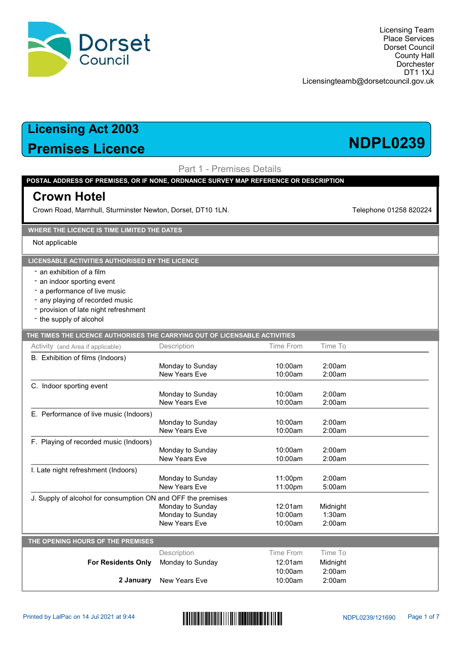

# Premises Licence NDPL0239

Part 1 - Premises Details

### POSTAL ADDRESS OF PREMISES, OR IF NONE, ORDNANCE SURVEY MAP REFERENCE OR DESCRIPTION

## Crown Hotel

Crown Road, Marnhull, Sturminster Newton, Dorset, DT10 1LN. The Comment of the Crown Road, Marnhull, Sturminster Newton, Dorset, DT10 1LN.

### WHERE THE LICENCE IS TIME LIMITED THE DATES

Not applicable

### LICENSABLE ACTIVITIES AUTHORISED BY THE LICENCE

- an exhibition of a film
- an indoor sporting event
- a performance of live music
- any playing of recorded music
- provision of late night refreshment
- the supply of alcohol

| THE TIMES THE LICENCE AUTHORISES THE CARRYING OUT OF LICENSABLE ACTIVITIES |                      |           |          |  |
|----------------------------------------------------------------------------|----------------------|-----------|----------|--|
| Activity (and Area if applicable)                                          | Description          | Time From | Time To  |  |
| B. Exhibition of films (Indoors)                                           |                      |           |          |  |
|                                                                            | Monday to Sunday     | 10:00am   | 2:00am   |  |
|                                                                            | New Years Eve        | 10:00am   | 2:00am   |  |
| C. Indoor sporting event                                                   |                      |           |          |  |
|                                                                            | Monday to Sunday     | 10:00am   | 2:00am   |  |
|                                                                            | New Years Eve        | 10:00am   | 2:00am   |  |
| E. Performance of live music (Indoors)                                     |                      |           |          |  |
|                                                                            | Monday to Sunday     | 10:00am   | 2:00am   |  |
|                                                                            | New Years Eve        | 10:00am   | 2:00am   |  |
| F. Playing of recorded music (Indoors)                                     |                      |           |          |  |
|                                                                            | Monday to Sunday     | 10:00am   | 2:00am   |  |
|                                                                            | New Years Fve        | 10:00am   | 2:00am   |  |
| I. Late night refreshment (Indoors)                                        |                      |           |          |  |
|                                                                            | Monday to Sunday     | 11:00pm   | 2:00am   |  |
|                                                                            | New Years Fve        | 11:00pm   | 5:00am   |  |
| J. Supply of alcohol for consumption ON and OFF the premises               |                      |           |          |  |
|                                                                            | Monday to Sunday     | 12:01am   | Midnight |  |
|                                                                            | Monday to Sunday     | 10:00am   | 1:30am   |  |
|                                                                            | New Years Fve        | 10:00am   | 2:00am   |  |
| THE OPENING HOURS OF THE PREMISES                                          |                      |           |          |  |
|                                                                            | Description          | Time From | Time To  |  |
| <b>For Residents Only</b>                                                  | Monday to Sunday     | 12:01am   | Midnight |  |
|                                                                            |                      | 10:00am   | 2:00am   |  |
| 2 January                                                                  | <b>New Years Eve</b> | 10:00am   | 2:00am   |  |
|                                                                            |                      |           |          |  |

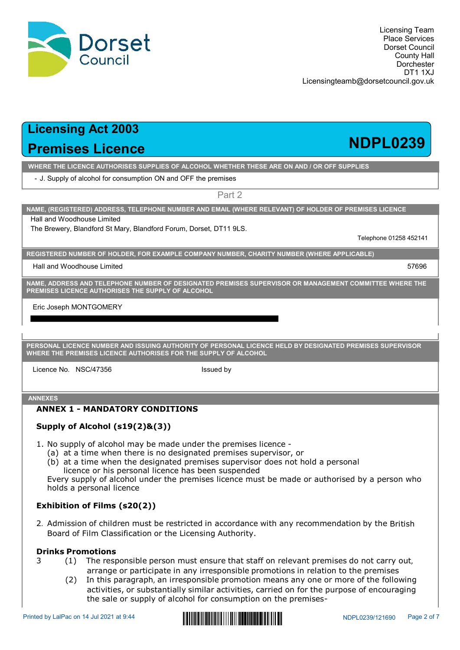

Dorset

Council

WHERE THE LICENCE AUTHORISES SUPPLIES OF ALCOHOL WHETHER THESE ARE ON AND / OR OFF SUPPLIES

- J. Supply of alcohol for consumption ON and OFF the premises

Part 2

NAME, (REGISTERED) ADDRESS, TELEPHONE NUMBER AND EMAIL (WHERE RELEVANT) OF HOLDER OF PREMISES LICENCE

Hall and Woodhouse Limited

The Brewery, Blandford St Mary, Blandford Forum, Dorset, DT11 9LS.

Telephone 01258 452141

REGISTERED NUMBER OF HOLDER, FOR EXAMPLE COMPANY NUMBER, CHARITY NUMBER (WHERE APPLICABLE)

Hall and Woodhouse Limited 57696

NAME, ADDRESS AND TELEPHONE NUMBER OF DESIGNATED PREMISES SUPERVISOR OR MANAGEMENT COMMITTEE WHERE THE PREMISES LICENCE AUTHORISES THE SUPPLY OF ALCOHOL

Eric Joseph MONTGOMERY

PERSONAL LICENCE NUMBER AND ISSUING AUTHORITY OF PERSONAL LICENCE HELD BY DESIGNATED PREMISES SUPERVISOR WHERE THE PREMISES LICENCE AUTHORISES FOR THE SUPPLY OF ALCOHOL SISTERED NUMBER OF HOLDER, FOR EXAMPLE COMPANY NUMBER, CHARITY NUMBER (WHERE APPLICABLE)<br>
Italiand Woodhouse Limited<br>
ME, ADDRESS AND TELEPHONE NUMBER OF DESIGNATED PREMISES SUPERVISOR OR MANAGEMENT COMMITTEE WHERE THE<br>
EM

Licence No. NSC/47356 sued by Issued by

## ANNEXES

## ANNEX 1 - MANDATORY CONDITIONS

## Supply of Alcohol (s19(2)&(3))

- -
	- licence or his personal licence has been suspended

TERED NUMBER OF HOLDER, FOR EXAMPLE COMPANY NUMBER, CHARITY NUMBER (WHERE APPLICABLE)<br>ADDRESS AND TELEPHONE NUMBER OF DESIGNATED PREMISES SUPERVISOR OR MANAGEMENT COMMITTEE WHER<br>SES LICENCE AUTHORISES THE SUPPLY OF ALCOHOL Examples and The designated premises supervisor or MANAGEMENT COMMITTEE WHERE THE<br>
STREET ADDRESS AND TELEPHONE NUMBER OF DESIGNATED PREMISES SUPERVISOR OR MANAGEMENT COMMITTEE WHERE THE<br>
SES LICENCE NUMBER AND ISSUING AUT ADDRESS AND TELEPHONE NUMBER OF DESIGNATED PREMISES SUPERVISOR OR MANAGEMENT COMMITTEE WHERE THE<br>SES LICENCE AUTHORISES THE SUPPLY OF ALCOHOL<br>WAL LICENCE NUMBER AND ISSUING AUTHORITY OF PERSONAL LICENCE HELD BY DESIGNATED holds a personal licence

## Exhibition of Films (s20(2))

ERE THE PREMISER AND ISSUING AUTHORITY OF PERSONAL LICENCE HELD BY DESIGNATED PREMISES SUPERVISOR<br>
RERE THE PREMISES LICENCE AUTHORISES FOR THE SUPPLY OF ALCOHOL<br>
SUPPLY OF ALCOHOL<br>
SUPPLY OF ALCOHOL<br>
SUPPLY Of ALCOHOL<br>
1. MAL LICENCE NUMBER AND ISSUING AUTHORITY OF PERSONAL LICENCE HELD BY DESIGNATED PREMISES SUPERVISOR<br>
THE PREMISES LICENCE AUTHORISES FOR THE SUPPLY OF ALCOHOL<br>
ISSUED ON DRIVER 1 - **MANDATORY CONDITIONS**<br> **ROBY**<br> **ROBY OF** SOMAL LUGNIC RIMMERY AND ISSUED (2) In this paragraph, an irresponsible promotion means and the control of the superbook and the presence No. NSC/47356 (sence No. NSC/47356 (sence AUTHORISES FOR THE SUPFLY OF ALCOHOL<br>
SIME

- 
- icance No. NSC/47356 (associated by a stated by stated by stated by stated by stated by stated and the response of the response of the relevant premises supervisor, or (b) at a time when the response of less ordesignated (2) In the multipleter of the property of alcohol (s19(2) Be(3)))<br>upply of alcohol (s19(2) Be and under the premises supervisor, or<br>ta the time when the designated premises supervisor, or<br>ta time when the designated premi **MANDATORY CONDITIONS**<br> **Cohol (s19(2)&(3))**<br>
of alcohol may be made under the premises supervisor, or<br>
me when there is no designated premises supervisor, or<br>
or whis personal licence has been suspended<br>
or his personal **HANDATORY CONDITIONS**<br> **Cohol (s19(2)&(3))**<br> **Cohol may** be made under the premises licence -<br>
or his personal licence has been suspervisor does not hold a personal<br>
bey of alcohol under the premises supervisor does not



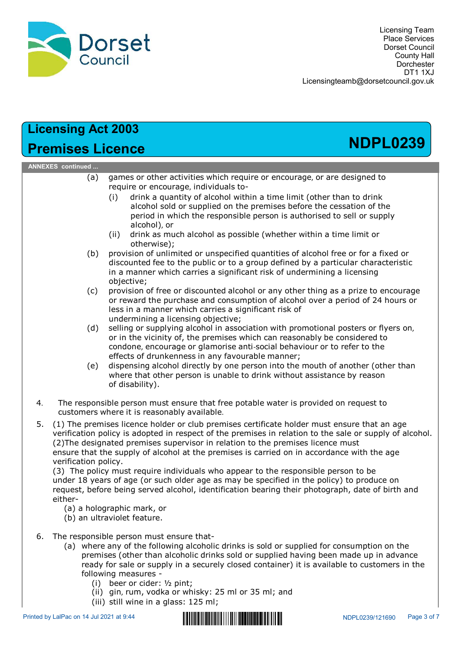

## Licensing Act 2003 Premises Licence NDPL0239 ANNEXES continued ... COLORET PROFILE CONTINUES CONTROLL CONTROLL CONTROLL CONTROLL CONTROLL CONTROLL CONTROLL CONTROLL CONTROLL CONTROLL CONTROLL CONTROLL CONTROLL CONTROLLY DETERMINENT DISTURNATION CONTROLLY CONTROLLY CONTROLLY CONTROLLY CON FSet<br>
TSE Present Council<br>
These Services<br>
Discussions of Discussions of Discussions<br>
Discussions of Discussions of the Council<br>
Services of the present<br>
Council of Discussions of the present<br>
Council of the services indiv (i) drink a graphetical a possible (whether within a time limit or<br>
(ii) drink a graphetic Council<br>
(Drink a quantity Hall<br>
(Drink a quantity of alcohol within a time limit (other than to drink<br>
alcohol sold or supplied on Licensing Team<br>
Place Services<br>
Dorset Council<br>
Docement<br>
Council of Council<br>
Docement<br>
Dirinvial<br>
Dirinvial<br>
Sold or supplied on the premises before the cessation of the<br>
experiment of alcohol within a time limit (other t **period in the responsible person is authorised to sell or supply the responsible person in the conduct of the responsible person is authorised to the responsible person is authorised to sell or supply allow the responsibl** alcohol), or **Example 18 CONSTRENT CONSTRENT CONSTRENT CONSTRENT CONSTRENT CONSTRENT CONSTRENT CONSTRENT CONSTRENT CONSTREND CONSTRENT CONSTREND TO THE SUPPLO CONSTRENT (i) drink a quantity of alcohol within a time limit (other than to** otherwise); (a) Council counter that the contract counter the counter of the counter of the counter of the priori of the priori of the priori of the priori of the priori of the priori of the priori of the priori of alcohol solon sumpl **Example 10**<br> **CONSTRESS CONSTRESS CONSTRESS CONSTRESS**<br> **CONSTRESS CONSTRESS**<br> **CONSTRESS**<br> **CONSTRESS**<br> **CONSTRESS**<br> **CONSTRESS**<br> **CONSTRESS**<br> **CONSTRESS**<br> **CONSTRESS**<br> **CONSTRESS**<br> **CONSTRESS**<br> **CONSTRESS**<br> **CONSTRESS**<br> **Example 2003**<br> **Example 2003**<br> **Example 2003**<br> **Example 2003**<br> **Example 30**<br> **Example 30**<br> **Example 30**<br> **Example 30**<br> **Example 30**<br> **Example 30**<br> **Example 30**<br> **Example 30**<br> **Example 30**<br> **Example 30**<br> **Example 30**<br> **Exa** objective; **Community of the computer of the computer or the computer or encourage** (or any other addition of the medicine or encourage, individuals to-<br>
(i) drink a quantity of alcohol within a time limit (other than to drink alcoho **COOS**<br> **COOS**<br> **COOS**<br> **COOS**<br> **COOS**<br> **COOS**<br> **COOS**<br> **COOS**<br> **COOS**<br> **COOS**<br> **COOS**<br> **COOS**<br> **COOS**<br> **COOS**<br> **COOS**<br> **COOS**<br> **COOS**<br> **COOS**<br> **COOS**<br> **COOS**<br> **COOS**<br> **COOS**<br> **COOS**<br> **COOS**<br> **COOS**<br> **COOS**<br> **COOS**<br> **COOS Solution Solution Solution**<br> **CONSTANT CONSTANT CONSTANT (CONSTANT)**<br> **CONSTANT CONSTANT CONSTANT CONSTANT CONSTANT CONSTANT CONSTANT CONSTANT CONSTANT CONSTANT CONSTANT (i)** drink a manner which the responsible person is **2003**<br> **Example 2003**<br> **Example 2003**<br> **Example 30**<br> **Example 30**<br> **Example:** The production of such that in the period is not<br>
(i) drink a quantity of alcohol within a time limit (other than to drink<br>
alcohol sold or su **Act 2003**<br> **Comments** or supplying individuals to the reason of the reason of the reason of the reason of the promotion solid or supplying on the premises before the cessation of the premises of the premises of the promot condone, encourage or glamorise anti-social behaviour or to refer to the **Example 18**<br>
games or other activities which require or encourage, or are designed to<br>
require or encourage, individuals to-<br>
(i) drink a quantity of alcohol within a time limit (other than to drink<br>
alcohol sold or suppl dispensive of the rativities which require or encourage, or are designed to require or encourage, individuals to-<br>(i) drink a quantity of alcohol within a time limit (other than to drink<br>alcohol solo or suppiled on the pe games or other activities which require or encourage, or are designed to<br>require or encourage, individuals to-<br>real (i) drink a quantity of alcohol within a time limit (other than to drink<br>alcohol sold or supplied on the p genes of outer activities witching the premision of encourage, or are usagine<br>require or encourage, individuals to-<br>(i) drink a quantity of alcohol within a time limit (other than to dr<br>alcohol sold or supplied on the prem (1) of the responsible person in the term in the term of the person is authorised by a proposition which the responsible person is authorised to sell or supply  $\frac{1}{2}$  alcohol), or<br>
(ii) drivin as much acohol as possibl experience is reasonably and the premises between the cessadon or customers where the premises the custom of the premises the customer is a manner which as nuch alcohol as possible (whether within a time limit or the prese verification policy is adopted in respect of the premises in relation to the sale or supply of alcohol. (2)The designated premises supervisor in relation to the premises licence must ensure that the supply of alcohol at the premises is carried on in accordance with the age verification policy. (3) The policy must require individuals who appear to the responsible person to be under 18 years of age (or such older age as may be specified in the policy) to produce on request, before being served alcohol, identification bearing their photograph, date of birth and either- (a) a holographic mark, or (b) an ultraviolet feature. 6. The responsible person must ensure that-<br>
(a) where the following or diable person in the victinity of, the premises which can reasonably condone, encourage or glamorise anti-social behaviour of eliminations in any favo condone, encourage or glamories anti-social behaviour or to refer to the<br>
encourage or glamories and my favourable manner;<br>
(e) dispensing alcohol directly by one person into the mouth of another (other than<br>
where that o effects of drunkenness in any favourable manner;<br>
(e) dispensing alcohol directly by one person into the mouth of another (of ther than<br>
ohere that other person is unable to drink without assistance by reason<br>
or disabilit ready for sale or supply in a securely closed container) it is available to customers in the following measures or cideration of disability).<br>
or disability).<br>
on sible person must ensure that free potable water is provided on request to<br>
or disability).<br>
onsible person must ensure that free potable water is provided on request to<br> or whiskile person must ensure that free potable water is provided on request to<br>onsible person must ensure that free potable water is provided on request to<br>emisses licence holder or club premises in eraction to the sale onsible person must ensure that free potable water is provided on request to<br>strained it is reasonably available.<br>
emises iticence holder or cub premises certificate holder must ensure that an age<br>
n policy is adopted in r

- 
- 

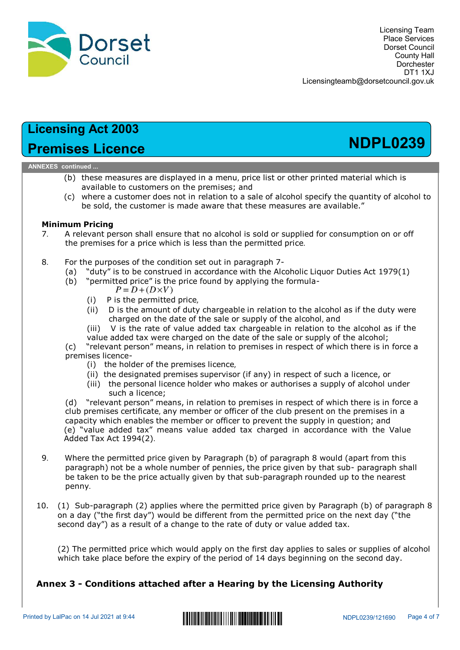

# Premises Licence NDPL0239

### ANNEXES continued ...

- **CONSERVATE:**<br>
(b) these measures are displayed in a menu, price list or other printed mat<br>
available to customers on the premises; and<br>
(c) where a customer does not in relation to a sale of alcohol specify the qu<br>
be so
- be sold, the customer is made aware that these measures are available." Licensingteamb@dorsetcouncil.gov.uk<br> **Since Since Incertial Since 1974**<br>
(b) these measures are displayed in a menu, price list or other printed material which is<br>
(b) these measures are displayed in a menu, price list or Licensingteamb@dorsetcouncil.gov.uk<br> **Sees Licence**<br>
(b) these measures are displayed in a menu, price list or other printed material which is<br>
(c) while to customers on the premises; and<br>
(c) where a customer does not in **(i) Controllation**<br> **Controllation** is the permisses are displayed in a menu, price list or other printed material which is<br>
valiable to customers on the premisses; and<br>
waliable to customer is made aware that these mea **2003**<br> **Cence**<br> **Cences**<br> **Cences**<br> **CENCE TOM**<br> **CENCE TO THE CONSECT ASSECT ASSECT ASSECT ASSECT ASSECT ASSECT AS A CUSTIMATE OF the customer is made aware that these measures are available."<br>
<b>CENCE OF THE CONSECT ASS Act 2003**<br> **SLICENCE EXECT STERT**<br> **SPACE THE REST AND THE REST AND THE REST AND THE REST AND THE REST AND THE REST AND THE PRESS THE ALCOND THE REST AND THE REST AND THE REST AND THE SPACE OF SPACE THE PRESS AND THE PRE Solution**<br> **Value 4**<br> **Concese**<br> **Concese**<br> **Concese**<br> **Concese**<br> **Concese**<br> **Concese**<br> **Concese**<br> **Concese**<br> **Concese**<br> **Concese**<br> **Concese**<br> **Concese**<br> **Concese**<br> **Concese**<br> **Concese**<br> **Concese**<br> **Concese**<br> **Concese**<br> **SES Licence**<br>
(b) these measures are displayed in a menu, price list or other printed material which is<br>
(c) where a customer does not in relation to a sale of alcohol specify the quantity of alcohol to<br>
evaliable to cus

- **Examples for a price which is less than the premise for a price which is a price which is a price which is a price which is a price which is a price which is a price which is a customer does not the premises and set of al**
- - - -
			-
			-
			-
			-

- 
- 
- 

d...<br>
aliable to customers on the premises; and<br>
here a customer does not in relation to a sale of alcohol specify the quantity of alcohol to<br>
e sold, the customer is made aware that these measures are available."<br> **Pricin** ese measures are usignwer in a nient, pincerists are considered to ustomers on the permises; and<br>wailable to customer some the permises; and<br>there a customer does not in relation to a sale of alcohol specify the quantity o e to customers on the perentises; and<br>a customer does not in relation to a sale of alcohol specify the quantity o<br>the customer does not in relation to a sale of alcohol specify the quantity o<br>dependence in relation to a s (c) where a customer does not in relation to a sale of a conono specify the quantity or accomputed.<br> **NA relevant person shall ensure that no alcohol is sold or supplied for consumption on or off<br>
A relevant person shall** be sold, the customer is made aware that these measures are available."<br>
A relevant person shall ensure that no alcohol is sold or supplied for consumption on or off<br>
the premises for a price which is less than the permitt **Arm Pricing**<br>A relevant person shall ensure that no alcohol is sold or supplied for consumption on or off<br>A relevant persons for a price which is less than the permitted price.<br>For the purposes of the condition set out i **All ends of the conduct of the premises of the propose of the premises for a price which is less than the permitted price.**<br>
For the purposes of the condition set out in paragraph 7-<br>
(a) "duty" is to be construed in acco A elevative permiss for a price which is less than the permitted price.<br>
8. For the purposes of the condition set out in paragraph 7-<br>
(a) "duty" is to be construed in accordance with the Alcoholic Liquor Duties Act 1979( For the purposes or the conductor set out in paragraph  $\sim$ <br>
(a) "duty" is to be construed in accordance with the Alcoholic Liquor Duties Act 1979(1)<br>
(b) "permitted price f's the price found by applying the formula-<br>
(ii (a) "exercity is to be constructed in accordance with the Aicoholic Liquor Direction is  $P = D + (D \times V)$ <br>
(b) "permitted price" is the price formula-<br>
(i) P is the primulted price,<br>
(ii) b is the mount of duty chargeable in r

- penny.
- 10. (1) Sub-paragraph (2) applies where the permitted price given by Paragraph (b) of paragraph 8 on a day ("the first day") would be different from the permitted price on the next day ("the second day") as a result of a change to the rate of duty or value added tax.

(2) The permitted price which would apply on the first day applies to sales or supplies of alcohol which take place before the expiry of the period of 14 days beginning on the second day.

## Annex 3 - Conditions attached after a Hearing by the Licensing Authority